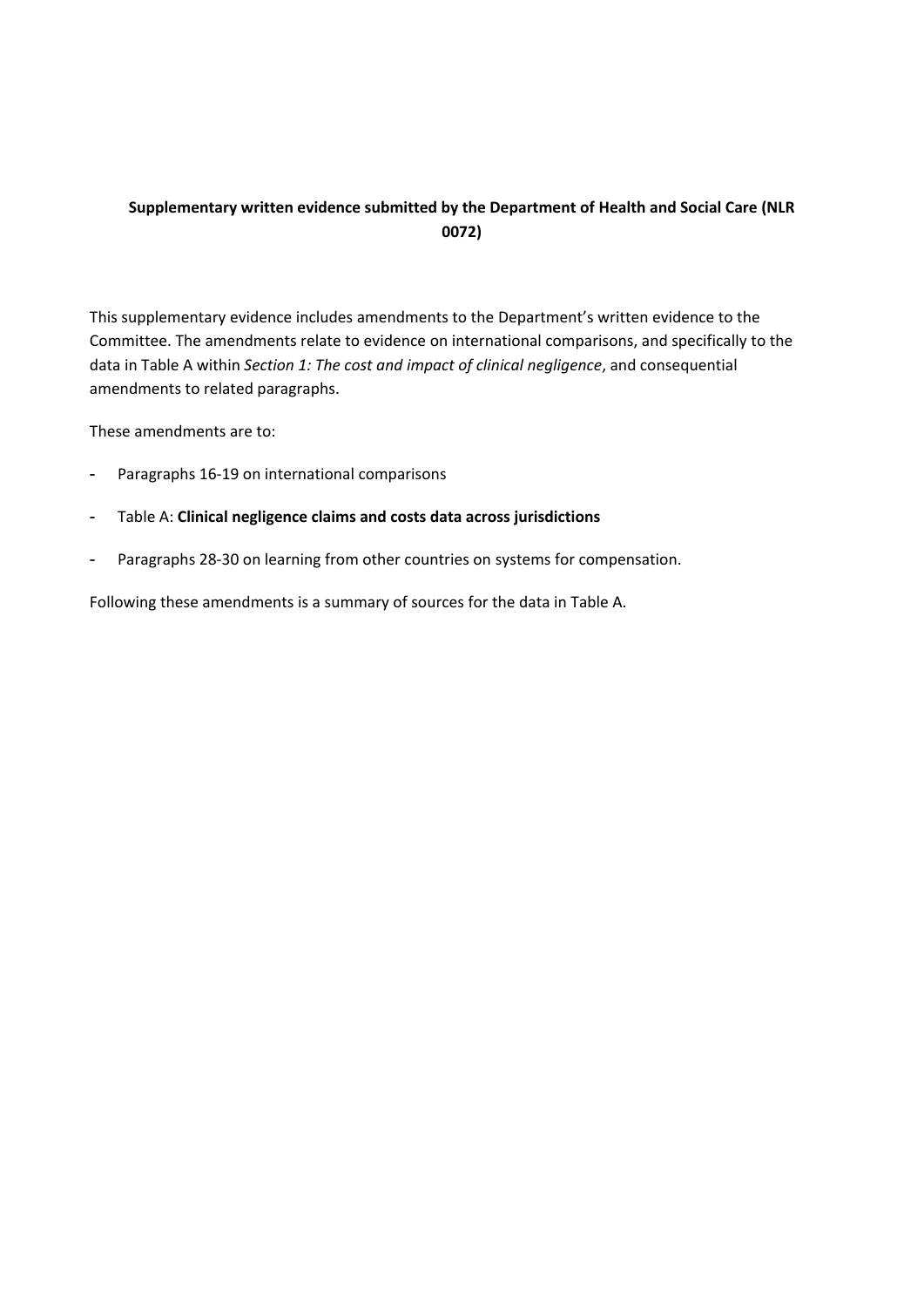## **Supplementary written evidence submitted by the Department of Health and Social Care (NLR 0072)**

This supplementary evidence includes amendments to the Department's written evidence to the Committee. The amendments relate to evidence on international comparisons, and specifically to the data in Table A within *Section 1: The cost and impact of clinical negligence*, and consequential amendments to related paragraphs.

These amendments are to:

- Paragraphs 16-19 on international comparisons
- Table A: **Clinical negligence claims and costs data across jurisdictions**
- Paragraphs 28-30 on learning from other countries on systems for compensation.

Following these amendments is a summary of sources for the data in Table A.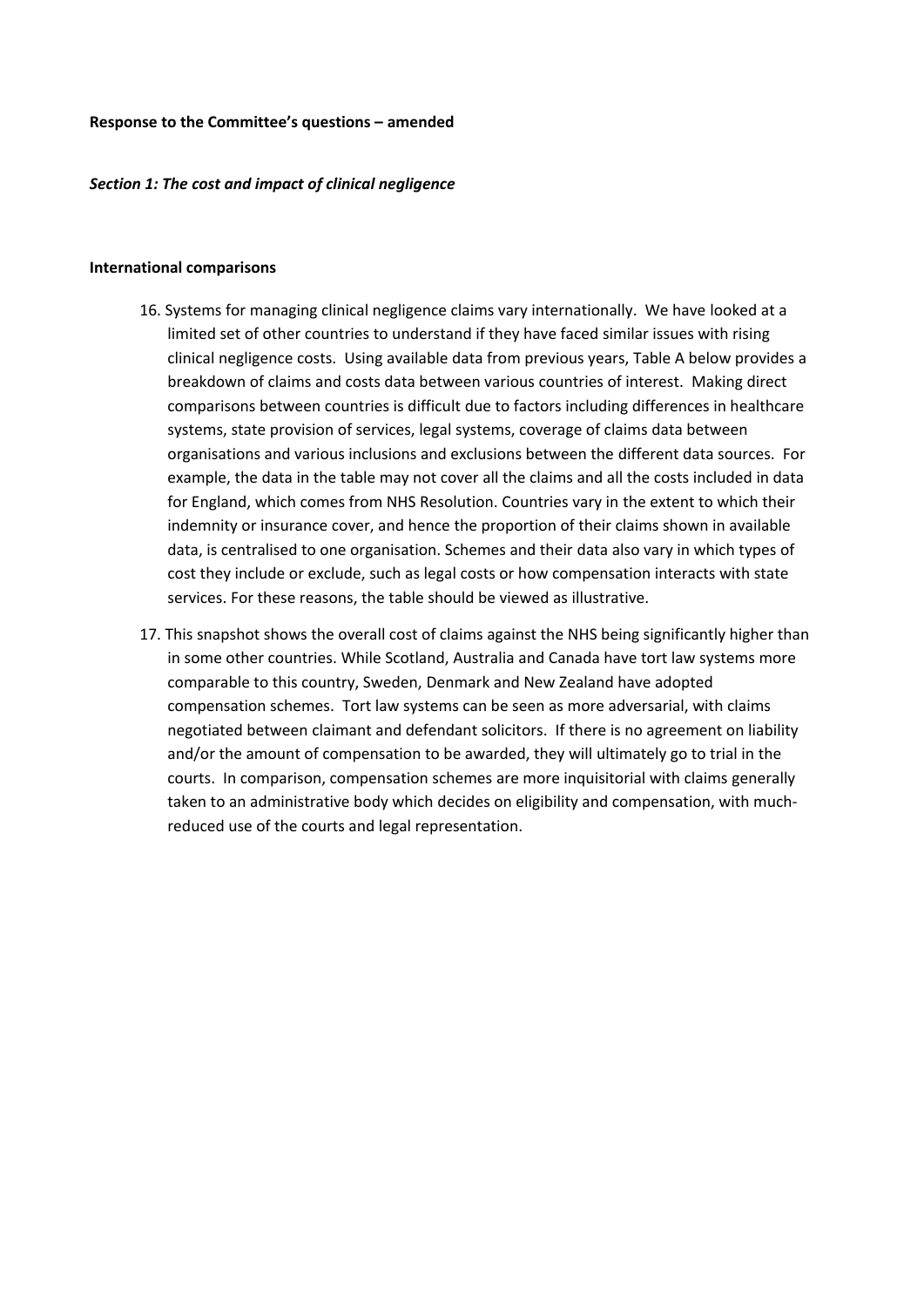#### **Response to the Committee's questions – amended**

#### *Section 1: The cost and impact of clinical negligence*

#### **International comparisons**

- 16. Systems for managing clinical negligence claims vary internationally. We have looked at a limited set of other countries to understand if they have faced similar issues with rising clinical negligence costs. Using available data from previous years, Table A below provides a breakdown of claims and costs data between various countries of interest. Making direct comparisons between countries is difficult due to factors including differences in healthcare systems, state provision of services, legal systems, coverage of claims data between organisations and various inclusions and exclusions between the different data sources. For example, the data in the table may not cover all the claims and all the costs included in data for England, which comes from NHS Resolution. Countries vary in the extent to which their indemnity or insurance cover, and hence the proportion of their claims shown in available data, is centralised to one organisation. Schemes and their data also vary in which types of cost they include or exclude, such as legal costs or how compensation interacts with state services. For these reasons, the table should be viewed as illustrative.
- 17. This snapshot shows the overall cost of claims against the NHS being significantly higher than in some other countries. While Scotland, Australia and Canada have tort law systems more comparable to this country, Sweden, Denmark and New Zealand have adopted compensation schemes. Tort law systems can be seen as more adversarial, with claims negotiated between claimant and defendant solicitors. If there is no agreement on liability and/or the amount of compensation to be awarded, they will ultimately go to trial in the courts. In comparison, compensation schemes are more inquisitorial with claims generally taken to an administrative body which decides on eligibility and compensation, with muchreduced use of the courts and legal representation.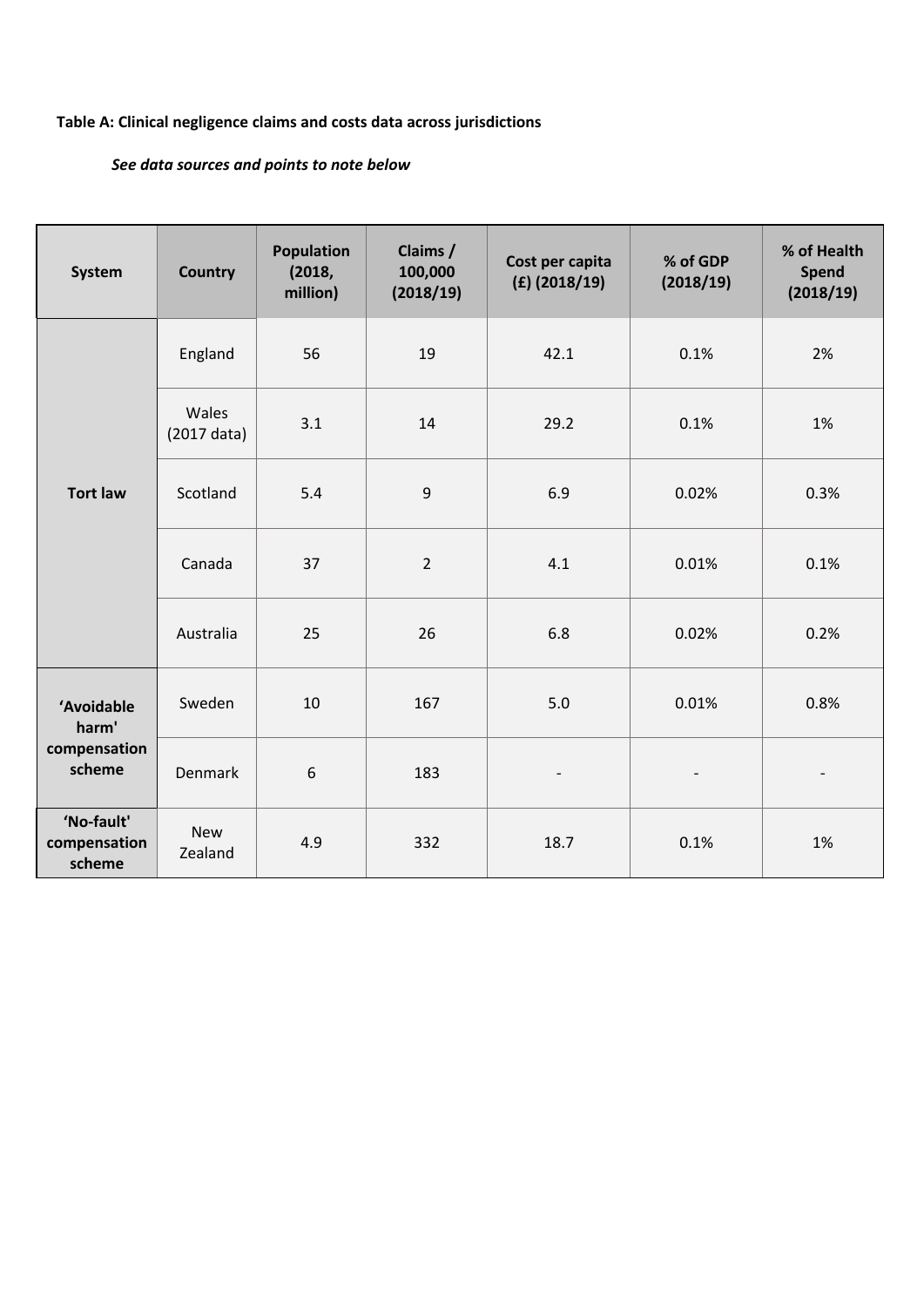# **Table A: Clinical negligence claims and costs data across jurisdictions**

# *See data sources and points to note below*

| <b>System</b>                                 | <b>Country</b>                 | <b>Population</b><br>(2018,<br>million) | Claims /<br>100,000<br>(2018/19) | Cost per capita<br>$(E)$ (2018/19) | % of GDP<br>(2018/19)    | % of Health<br><b>Spend</b><br>(2018/19) |
|-----------------------------------------------|--------------------------------|-----------------------------------------|----------------------------------|------------------------------------|--------------------------|------------------------------------------|
| <b>Tort law</b>                               | England                        | 56                                      | 19                               | 42.1                               | 0.1%                     | 2%                                       |
|                                               | Wales<br>$(2017 \text{ data})$ | 3.1                                     | 14                               | 29.2                               | 0.1%                     | 1%                                       |
|                                               | Scotland                       | 5.4                                     | 9                                | 6.9                                | 0.02%                    | 0.3%                                     |
|                                               | Canada                         | 37                                      | $\overline{2}$                   | 4.1                                | 0.01%                    | 0.1%                                     |
|                                               | Australia                      | 25                                      | 26                               | 6.8                                | 0.02%                    | 0.2%                                     |
| 'Avoidable<br>harm'<br>compensation<br>scheme | Sweden                         | 10                                      | 167                              | 5.0                                | 0.01%                    | 0.8%                                     |
|                                               | <b>Denmark</b>                 | $\boldsymbol{6}$                        | 183                              | $\overline{\phantom{a}}$           | $\overline{\phantom{a}}$ | $\overline{\phantom{a}}$                 |
| 'No-fault'<br>compensation<br>scheme          | <b>New</b><br>Zealand          | 4.9                                     | 332                              | 18.7                               | 0.1%                     | 1%                                       |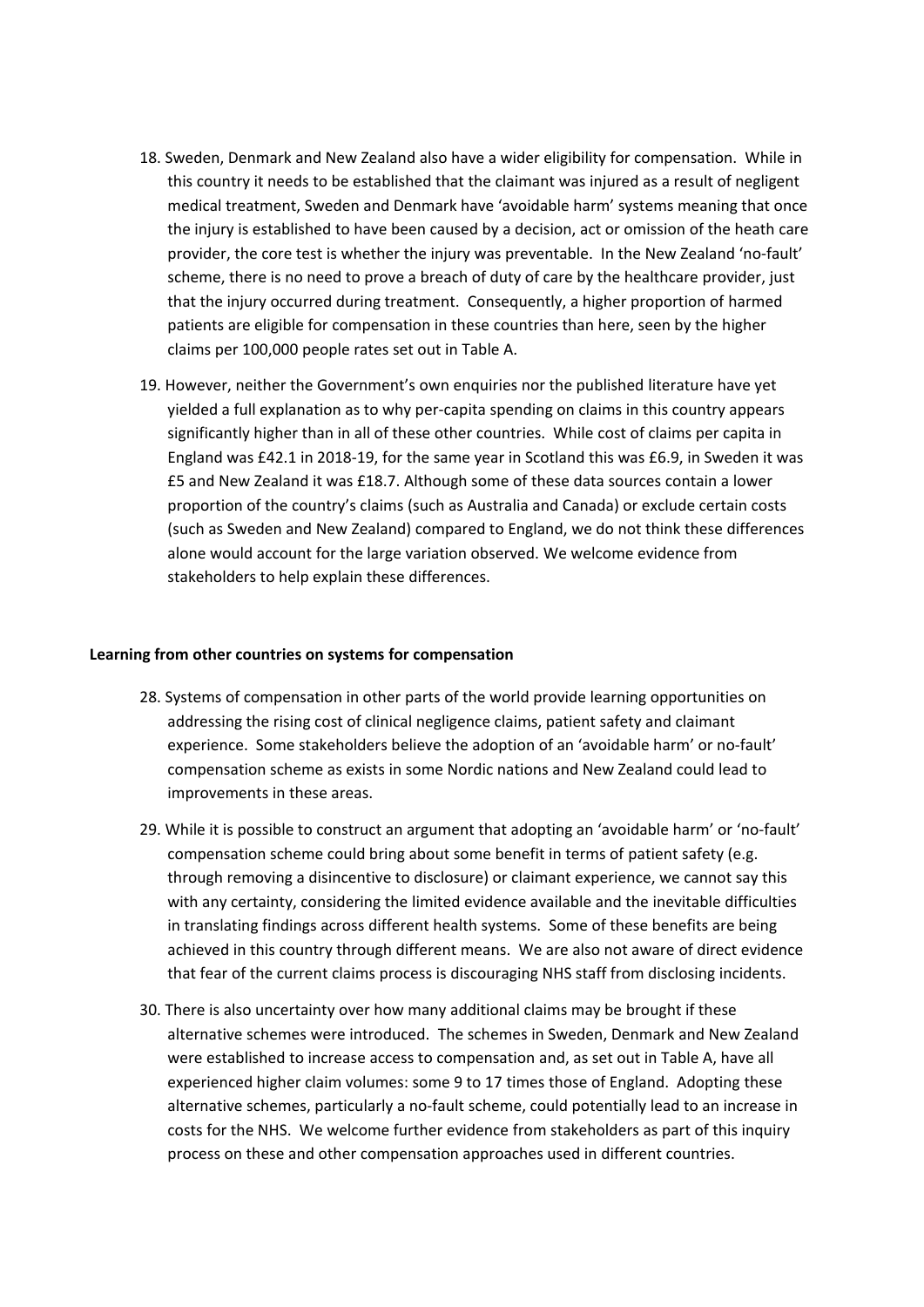- 18. Sweden, Denmark and New Zealand also have a wider eligibility for compensation. While in this country it needs to be established that the claimant was injured as a result of negligent medical treatment, Sweden and Denmark have 'avoidable harm' systems meaning that once the injury is established to have been caused by a decision, act or omission of the heath care provider, the core test is whether the injury was preventable. In the New Zealand 'no-fault' scheme, there is no need to prove a breach of duty of care by the healthcare provider, just that the injury occurred during treatment. Consequently, a higher proportion of harmed patients are eligible for compensation in these countries than here, seen by the higher claims per 100,000 people rates set out in Table A.
- 19. However, neither the Government's own enquiries nor the published literature have yet yielded a full explanation as to why per-capita spending on claims in this country appears significantly higher than in all of these other countries. While cost of claims per capita in England was £42.1 in 2018-19, for the same year in Scotland this was £6.9, in Sweden it was £5 and New Zealand it was £18.7. Although some of these data sources contain a lower proportion of the country's claims (such as Australia and Canada) or exclude certain costs (such as Sweden and New Zealand) compared to England, we do not think these differences alone would account for the large variation observed. We welcome evidence from stakeholders to help explain these differences.

### **Learning from other countries on systems for compensation**

- 28. Systems of compensation in other parts of the world provide learning opportunities on addressing the rising cost of clinical negligence claims, patient safety and claimant experience. Some stakeholders believe the adoption of an 'avoidable harm' or no-fault' compensation scheme as exists in some Nordic nations and New Zealand could lead to improvements in these areas.
- 29. While it is possible to construct an argument that adopting an 'avoidable harm' or 'no-fault' compensation scheme could bring about some benefit in terms of patient safety (e.g. through removing a disincentive to disclosure) or claimant experience, we cannot say this with any certainty, considering the limited evidence available and the inevitable difficulties in translating findings across different health systems. Some of these benefits are being achieved in this country through different means. We are also not aware of direct evidence that fear of the current claims process is discouraging NHS staff from disclosing incidents.
- 30. There is also uncertainty over how many additional claims may be brought if these alternative schemes were introduced. The schemes in Sweden, Denmark and New Zealand were established to increase access to compensation and, as set out in Table A, have all experienced higher claim volumes: some 9 to 17 times those of England. Adopting these alternative schemes, particularly a no-fault scheme, could potentially lead to an increase in costs for the NHS. We welcome further evidence from stakeholders as part of this inquiry process on these and other compensation approaches used in different countries.